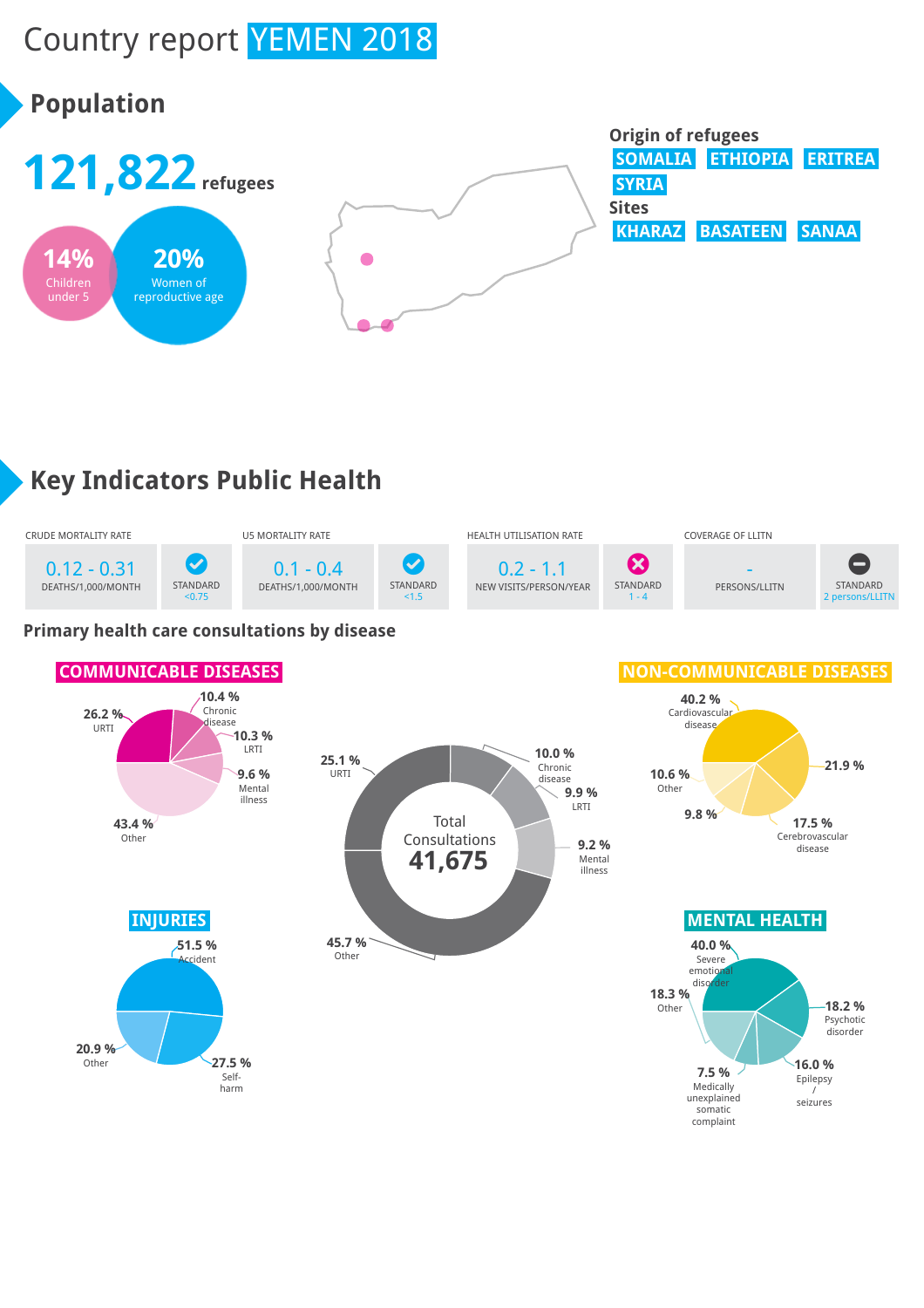# Country report YEMEN 2018

## **Population**



## **Key Indicators Public Health**



#### **Primary health care consultations by disease**

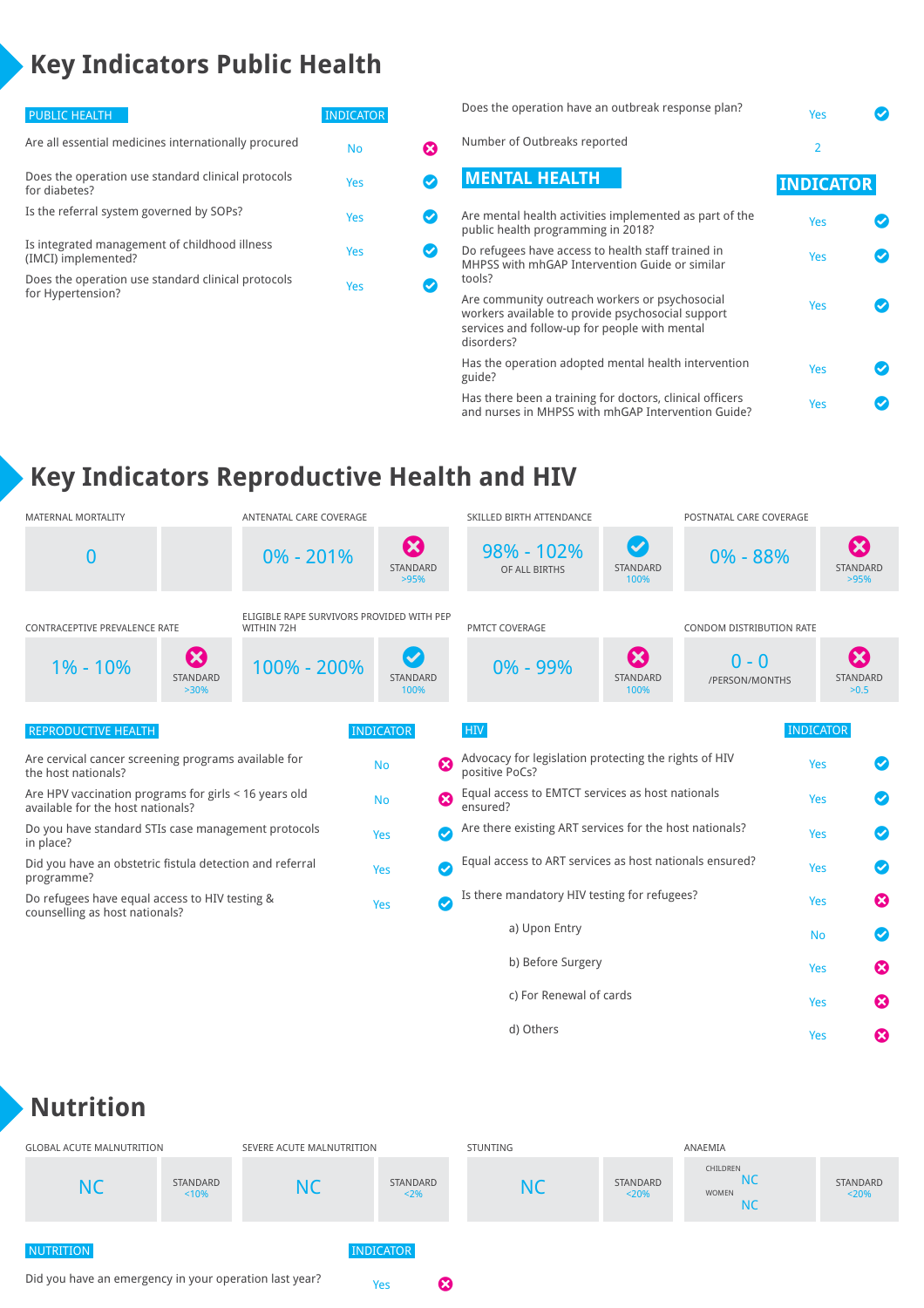## **Key Indicators Public Health**

| <b>PUBLIC HEALTH</b>                                                    | <b>INDICATOR</b> |  |
|-------------------------------------------------------------------------|------------------|--|
| Are all essential medicines internationally procured                    | No               |  |
| Does the operation use standard clinical protocols<br>for diabetes?     | Yes              |  |
| Is the referral system governed by SOPs?                                | Yes              |  |
| Is integrated management of childhood illness<br>(IMCI) implemented?    | Yes              |  |
| Does the operation use standard clinical protocols<br>for Hypertension? | Yes              |  |
|                                                                         |                  |  |

| Does the operation have an outbreak response plan?                                                                                                                 | Yes              |  |
|--------------------------------------------------------------------------------------------------------------------------------------------------------------------|------------------|--|
| Number of Outbreaks reported                                                                                                                                       | $\overline{2}$   |  |
| <b>MENTAL HEALTH</b>                                                                                                                                               | <b>INDICATOR</b> |  |
| Are mental health activities implemented as part of the<br>public health programming in 2018?                                                                      | Yes              |  |
| Do refugees have access to health staff trained in<br>MHPSS with mhGAP Intervention Guide or similar<br>tools?                                                     | Yes              |  |
| Are community outreach workers or psychosocial<br>workers available to provide psychosocial support<br>services and follow-up for people with mental<br>disorders? | Yes              |  |
| Has the operation adopted mental health intervention<br>guide?                                                                                                     | Yes              |  |
| Has there been a training for doctors, clinical officers<br>and nurses in MHPSS with mhGAP Intervention Guide?                                                     | Yes              |  |

d) Others **Contract Contract Contract Contract Contract Contract Contract Contract Contract Contract Contract Contract Contract Contract Contract Contract Contract Contract Contract Contract Contract Contract Contract Cont** 

## **Key Indicators Reproductive Health and HIV**

| <b>MATERNAL MORTALITY</b>                                                                  | ANTENATAL CARE COVERAGE                                 |                                           | SKILLED BIRTH ATTENDANCE                                                |                                                  | POSTNATAL CARE COVERAGE   |                                                    |  |
|--------------------------------------------------------------------------------------------|---------------------------------------------------------|-------------------------------------------|-------------------------------------------------------------------------|--------------------------------------------------|---------------------------|----------------------------------------------------|--|
| 0                                                                                          | $0\% - 201\%$                                           | $\boldsymbol{\Omega}$<br>STANDARD<br>>95% | 98% - 102%<br>OF ALL BIRTHS                                             | $\boldsymbol{\mathcal{S}}$<br>STANDARD<br>100%   | $0\% - 88\%$              | $\boldsymbol{\Omega}$<br>STANDARD<br>>95%          |  |
| CONTRACEPTIVE PREVALENCE RATE                                                              | ELIGIBLE RAPE SURVIVORS PROVIDED WITH PEP<br>WITHIN 72H |                                           | PMTCT COVERAGE                                                          |                                                  | CONDOM DISTRIBUTION RATE  |                                                    |  |
| $\boldsymbol{\Omega}$<br>$1\% - 10\%$<br>STANDARD<br>$>30\%$                               | 100% - 200%                                             | $\boldsymbol{\sigma}$<br>STANDARD<br>100% | $0\% - 99\%$                                                            | $\boldsymbol{\Omega}$<br><b>STANDARD</b><br>100% | $0 - 0$<br>/PERSON/MONTHS | $\mathbf{\mathbf{\mathsf{x}}}$<br>STANDARD<br>>0.5 |  |
| <b>REPRODUCTIVE HEALTH</b>                                                                 |                                                         | <b>INDICATOR</b>                          | <b>HIV</b>                                                              |                                                  |                           | <b>INDICATOR</b>                                   |  |
| Are cervical cancer screening programs available for<br>the host nationals?                |                                                         | Ø<br><b>No</b>                            | Advocacy for legislation protecting the rights of HIV<br>positive PoCs? |                                                  |                           | Ø<br>Yes                                           |  |
| Are HPV vaccination programs for girls < 16 years old<br>available for the host nationals? |                                                         | Ø<br><b>No</b>                            | Equal access to EMTCT services as host nationals<br>ensured?            |                                                  |                           | Yes<br>$\blacktriangledown$                        |  |
| Do you have standard STIs case management protocols<br>in place?                           |                                                         | Ø<br>Yes                                  | Are there existing ART services for the host nationals?                 |                                                  |                           | $\left( \mathcal{S}\right)$<br>Yes                 |  |
| Did you have an obstetric fistula detection and referral<br>programme?                     |                                                         | Ø<br>Yes                                  | Equal access to ART services as host nationals ensured?                 |                                                  |                           | Yes<br>$\left( \mathcal{S}\right)$                 |  |
| Do refugees have equal access to HIV testing &<br>counselling as host nationals?           |                                                         | $\bullet$<br>Yes                          | Is there mandatory HIV testing for refugees?                            |                                                  |                           | ☎<br>Yes                                           |  |
|                                                                                            |                                                         |                                           | a) Upon Entry                                                           |                                                  |                           | <b>No</b><br>✓                                     |  |
|                                                                                            |                                                         |                                           | b) Before Surgery                                                       |                                                  |                           | ☎<br>Yes                                           |  |
|                                                                                            |                                                         |                                           | c) For Renewal of cards                                                 |                                                  |                           | ೞ<br>Yes                                           |  |

#### **Nutrition**